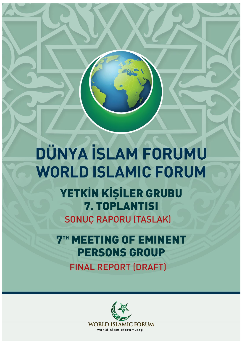# DÜNYA İSLAM FORUMU **WORLD ISLAMIC FORUM**

YETKİN KİŞİLER GRUBU 7. TOPLANTISI **SONUÇ RAPORU (TASLAK)** 

**7TH MEETING OF EMINENT PERSONS GROUP FINAL REPORT (DRAFT)** 

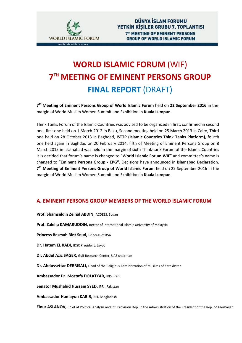

# **WORLD ISLAMIC FORUM** (WIF) **7 TH MEETING OF EMINENT PERSONS GROUP FINAL REPORT** (DRAFT)

**7 th Meeting of Eminent Persons Group of World Islamic Forum** held on **22 September 2016** in the margin of World Muslim Women Summit and Exhibition in **Kuala Lumpur**.

Think Tanks Forum of the Islamic Countries was advised to be organized in first, confirmed in second one, first one held on 1 March 2012 in Baku, Second meeting held on 25 March 2013 in Cairo, Third one held on 28 October 2013 in Baghdad, **ISTTP (Islamic Countries Think Tanks Platform)**, fourth one held again in Baghdad on 20 February 2014, fifth of Meeting of Eminent Persons Group on 8 March 2015 in Islamabad was held in the margin of sixth Think-tank Forum of the Islamic Countries it is decided that forum's name is changed to "**World Islamic Forum WIF**" and committee's name is changed to "**Eminent Persons Group - EPG"**. Decisions have announced in Islamabad Declaration**. 7 th Meeting of Eminent Persons Group of World Islamic Forum** held on 22 September 2016 in the margin of World Muslim Women Summit and Exhibition in **Kuala Lumpur**.

### **A. EMINENT PERSONS GROUP MEMBERS OF THE WORLD ISLAMIC FORUM**

- **Prof. Shamseldin Zeinal ABDIN,** ACDESS, Sudan
- **Prof. Zaleha KAMARUDDIN,** Rector of International Islamic University of Malaysia
- **Princess Basmah Bint Saud,** Princess of KSA
- **Dr. Hatem EL KADI, IDSC President, Egypt**
- **Dr. Abdul Aziz SAGER,** Gulf Research Center, UAE chairman
- **Dr. Abdussettar DERBISALI,** Head of the Religious Administration of Muslims of Kazakhstan
- **Ambassador Dr. Mostafa DOLATYAR,** IPIS, Iran
- **Senator Müshahid Hussaın SYED,** IPRI, Pakistan
- **Ambassador Humayun KABIR,** BEI, Bangladesh

**Elnur ASLANOV,** Chief of Political Analysis and Inf. Provision Dep. in the Administration of the President of the Rep. of Azerbaijan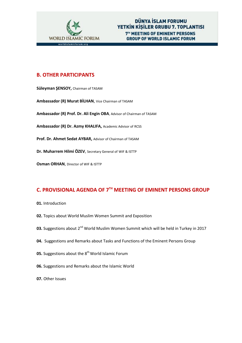

# **B. OTHER PARTICIPANTS**

**Süleyman ŞENSOY,** Chairman of TASAM **Ambassador (R) Murat BİLHAN**, Vice Chairman of TASAM **Ambassador (R) Prof. Dr. Ali Engin OBA**, Advisor of Chairman of TASAM **Ambassador (R) Dr. Azmy KHALIFA,** Academic Advisor of RCSS **Prof. Dr. Ahmet Sedat AYBAR,** Advisor of Chairman of TASAM **Dr. Muharrem Hilmi ÖZEV**, Secretary General of WIF & ISTTP **Osman ORHAN**, Director of WIF & ISTTP

# **C. PROVISIONAL AGENDA OF 7 TH MEETING OF EMINENT PERSONS GROUP**

- **01.** Introduction
- **02.** Topics about World Muslim Women Summit and Exposition
- 03. Suggestions about 2<sup>nd</sup> World Muslim Women Summit which will be held in Turkey in 2017
- **04.** Suggestions and Remarks about Tasks and Functions of the Eminent Persons Group
- **05.** Suggestions about the 8<sup>th</sup> World Islamic Forum
- **06.** Suggestions and Remarks about the Islamic World
- **07.** Other Issues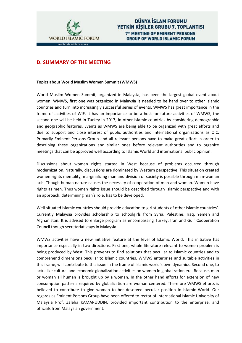

# **D. SUMMARY OF THE MEETING**

#### **Topics about World Muslim Women Summit (WMWS)**

World Muslim Women Summit, organized in Malaysia, has been the largest global event about women. WMWS, first one was organized in Malaysia is needed to be hand over to other Islamic countries and turn into increasingly successful series of events. WMWS has great importance in the frame of activities of WIF. It has an importance to be a host for future activities of WMWS, the second one will be held in Turkey in 2017, in other Islamic countries by considering demographic and geographic features. Events as WMWS are being able to be organized with great efforts and due to support and close interest of public authorities and international organizations as OIC. Primarily Eminent Persons Group and all relevant persons have to make great effort in order to describing these organizations and similar ones before relevant authorities and to organize meetings that can be approved well according to Islamic World and international public opinion.

Discussions about women rights started in West because of problems occurred through modernization. Naturally, discussions are dominated by Western perspective. This situation created women rights mentality, marginalizing man and division of society is possible through man-woman axis. Though human nature causes the necessity of cooperation of man and woman. Women have rights as men. Thus women rights issue should be described through Islamic perspective and with an approach, determining man's role, has to be developed.

Well-situated Islamic countries should provide education to girl students of other Islamic countries'. Currently Malaysia provides scholarship to schoolgirls from Syria, Palestine, Iraq, Yemen and Afghanistan. It is advised to enlarge program as encompassing Turkey, Iran and Gulf Cooperation Council though secretariat stays in Malaysia.

WMWS activities have a new initiative feature at the level of Islamic World. This initiative has importance especially in two directions. First one, whole literature relevant to women problem is being produced by West. This prevents to find solutions that peculiar to Islamic countries and to comprehend dimensions peculiar to Islamic countries. WMWS enterprise and suitable activities in this frame, will contribute to this issue in the frame of Islamic world's own dynamics. Second one, to actualize cultural and economic globalization activities on women in globalization era. Because, man or woman all human is brought up by a woman. In the other hand efforts for extension of new consumption patterns required by globalization are woman centered. Therefore WMWS efforts is believed to contribute to give woman to her deserved peculiar position in Islamic World. Our regards as Eminent Persons Group have been offered to rector of International Islamic University of Malaysia Prof. Zaleha KAMARUDDIN, provided important contribution to the enterprise, and officials from Malaysian government.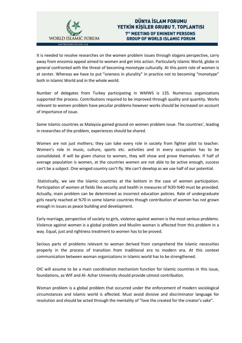

## **DÜNYA İSLAM FORUMU** YETKIN KISILER GRUBU 7. TOPLANTISI **7<sup>TH</sup> MEETING OF EMINENT PERSONS GROUP OF WORLD ISLAMIC FORUM**

It is needed to resolve researches on the women problem issues through slogans perspective, carry away from encomia appeal aimed to women and get into action. Particularly Islamic World, globe in general confronted with the threat of becoming monotype culturally. At this point role of women is at center. Whereas we have to put "oneness in plurality" in practice not to becoming "monotype" both in Islamic World and in the whole world.

Number of delegates from Turkey participating in WMWS is 135. Numerous organizations supported the process. Contributions required to be improved through quality and quantity. Works relevant to women problem have peculiar problems however works should be increased on account of importance of issue.

Some Islamic countries as Malaysia gained ground on women problem issue. The countries', leading in researches of the problem, experiences should be shared.

Women are not just mothers; they can take every role in society from fighter pilot to teacher. Women's role in music, culture, sports etc. activities and in every occupation has to be consolidated. If will be given chance to women, they will show and prove themselves. If half of average population is women, at the countries women are not able to be active enough, success can't be a subject. One winged country can't fly. We can't develop as we use half of our potential.

Statistically, we see the Islamic countries at the bottom in the case of women participation. Participation of women at fields like security and health in measures of %30-%40 must be provided. Actually, main problem can be determined as incorrect education policies. Rate of undergraduate girls nearly reached at %70 in some Islamic countries though contribution of women has not grown enough in issues as peace building and development.

Early marriage, perspective of society to girls, violence against women is the most serious problems. Violence against women is a global problem and Muslim woman is affected from this problem in a way. Equal, just and rightness treatment to women has to be proved.

Serious parts of problems relevant to woman derived from comprehend the Islamic necessities properly in the process of transition from traditional era to modern era. At this context communication between woman organizations in Islamic world has to be strengthened.

OIC will assume to be a main coordination mechanism function for Islamic countries in this issue, foundations, as WIF and Al- Azhar University should provide utmost contribution.

Woman problem is a global problem that occurred under the enforcement of modern sociological circumstances and Islamic world is affected. Must avoid divisive and discriminator language for resolution and should be acted through the mentality of "love the created for the creator's sake".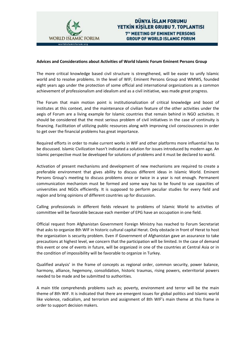

#### **Advices and Considerations about Activities of World Islamic Forum Eminent Persons Group**

The more critical knowledge based civil structure is strengthened, will be easier to unify Islamic world and to resolve problems. In the level of WIF; Eminent Persons Group and WMWS, founded eight years ago under the protection of some official and international organizations as a common achievement of professionalism and idealism and as a civil initiative, was made great progress.

The Forum that main motion point is institutionalization of critical knowledge and boost of institutes at this context, and the maintenance of civilian feature of the other activities under the aegis of Forum are a living example for Islamic countries that remain behind in NGO activities. It should be considered that the most serious problem of civil initiatives in the case of continuity is financing. Facilitation of utilizing public resources along with improving civil consciousness in order to get over the financial problems has great importance.

Required efforts in order to make current works in WIF and other platforms more influential has to be discussed. Islamic Civilization hasn't indicated a solution for issues introduced by modern age. An Islamic perspective must be developed for solutions of problems and it must be declared to world.

Activation of present mechanisms and development of new mechanisms are required to create a preferable environment that gives ability to discuss different ideas in Islamic World. Eminent Persons Group's meeting to discuss problems once or twice in a year is not enough. Permanent communication mechanism must be formed and some way has to be found to use capacities of universities and NGOs efficiently. It is supposed to perform peculiar studies for every field and region and bring opinions of different countries up for discussion.

Calling professionals in different fields relevant to problems of Islamic World to activities of committee will be favorable because each member of EPG have an occupation in one field.

Official request from Afghanistan Government Foreign Ministry has reached to Forum Secretariat that asks to organize 8th WIF in historic cultural capital Herat. Only obstacle in front of Herat to host the organization is security problem. Even if Government of Afghanistan gave an assurance to take precautions at highest level, we concern that the participation will be limited. In the case of demand this event or one of events in future, will be organized in one of the countries at Central Asia or in the condition of impossibility will be favorable to organize in Turkey.

Qualified analysis' in the frame of concepts as regional order, common security, power balance, harmony, alliance, hegemony, consolidation, historic traumas, rising powers, exterritorial powers needed to be made and be submitted to authorities.

A main title comprehends problems such as; poverty, environment and terror will be the main theme of 8th WIF. It is indicated that there are emergent issues for global politics and Islamic world like violence, radicalism, and terrorism and assignment of 8th WIF's main theme at this frame in order to support decision makers.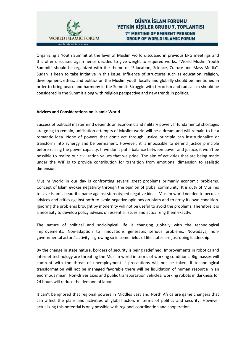

# DÜNYA İSLAM FORUMU YETKIN KISILER GRUBU 7. TOPLANTISI **7<sup>TH</sup> MEETING OF EMINENT PERSONS GROUP OF WORLD ISLAMIC FORUM**

Organizing a Youth Summit at the level of Muslim world discussed in previous EPG meetings and this offer discussed again hence decided to give weight to required works. "World Muslim Youth Summit" should be organized with the theme of "Education, Science, Culture and Mass Media". Sudan is keen to take initiative in this issue. Influence of structures such as education, religion, development, ethics, and politics on the Muslim youth locally and globally should be mentioned in order to bring peace and harmony in the Summit. Struggle with terrorism and radicalism should be considered in the Summit along with religion perspective and new trends in politics.

#### **Advices and Considerations on Islamic World**

Success of political mastermind depends on economic and military power. If fundamental shortages are going to remain, unification attempts of Muslim world will be a dream and will remain to be a romantic idea. None of powers that don't act through justice principle can institutionalize or transform into synergy and be permanent. However, it is impossible to defend justice principle before raising the power capacity. If we don't put a balance between power and justice, it won't be possible to realize our civilization values that we pride. The aim of activities that are being made under the WIF is to provide contribution for transition from emotional dimension to realistic dimension.

Muslim World in our day is confronting several great problems primarily economic problems. Concept of Islam evokes negativity through the opinion of global community. It is duty of Muslims to save Islam's beautiful name against stereotyped negative ideas. Muslim world needed to peculiar advices and critics against both to avoid negative opinions on Islam and to array its own condition. Ignoring the problems brought by modernity will not be useful to avoid the problems. Therefore it is a necessity to develop policy advises on essential issues and actualizing them exactly.

The nature of political and sociological life is changing globally with the technological improvements. Non-adaption to innovations generates serious problems. Nowadays, nongovernmental actors' activity is growing so in some fields of life states are just doing leadership.

By the change in state nature, borders of security is being redefined. Improvements in robotics and internet technology are threating the Muslim world in terms of working conditions. Big masses will confront with the threat of unemployment if precautions will not be taken. If technological transformation will not be managed favorable there will be liquidation of human resource in an enormous mean. Non-driver taxis and public transportation vehicles, working robots in darkness for 24 hours will reduce the demand of labor.

It can't be ignored that regional powers in Middles East and North Africa are game changers that can affect the plans and activities of global actors in terms of politics and security. However actualizing this potential is only possible with regional coordination and cooperation.